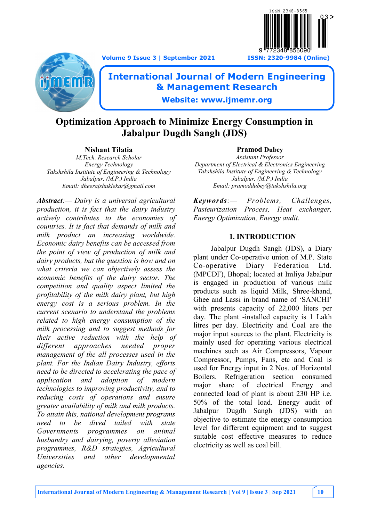**Volume 9 Issue 3 | September 2021 ISSN: 2320-9984 (Online)**





# **International Journal of Modern Engineering & Management Research**

**Website: www.ijmemr.org**

# **Optimization Approach to Minimize Energy Consumption in Jabalpur Dugdh Sangh (JDS)**

# **Nishant Tilatia**

*M.Tech. Research Scholar Energy Technology Takshshila Institute of Engineering & Technology Jabalpur, (M.P.) India Email: dheerajshuklekar@gmail.com*

*Abstract:— Dairy is a universal agricultural production, it is fact that the dairy industry actively contributes to the economies of countries. It is fact that demands of milk and milk product an increasing worldwide. Economic dairy benefits can be accessed from the point of view of production of milk and dairy products, but the question is how and on what criteria we can objectively assess the economic benefits of the dairy sector. The competition and quality aspect limited the profitability of the milk dairy plant, but high energy cost is a serious problem. In the current scenario to understand the problems related to high energy consumption of the milk processing and to suggest methods for their active reduction with the help of different approaches needed proper management of the all processes used in the plant. For the Indian Dairy Industry, efforts need to be directed to accelerating the pace of application and adoption of modern technologies to improving productivity, and to reducing costs of operations and ensure greater availability of milk and milk products. To attain this, national development programs need to be dived tailed with state Governments programmes on animal husbandry and dairying, poverty alleviation programmes, R&D strategies, Agricultural Universities and other developmental agencies.*

# **Pramod Dubey**

*Assistant Professor Department of Electrical & Electronics Engineering Takshshila Institute of Engineering & Technology Jabalpur, (M.P.) India Email: pramoddubey@takshshila.org*

*Keywords:— Problems, Challenges, Pasteurization Process, Heat exchanger, Energy Optimization, Energy audit.*

# **1. INTRODUCTION**

Jabalpur Dugdh Sangh (JDS), a Diary plant under Co-operative union of M.P. State Co-operative Diary Federation Ltd. (MPCDF), Bhopal; located at Imliya Jabalpur is engaged in production of various milk products such as liquid Milk, Shree-khand, Ghee and Lassi in brand name of "SANCHI" with presents capacity of 22,000 liters per day. The plant -installed capacity is 1 Lakh litres per day. Electricity and Coal are the major input sources to the plant. Electricity is mainly used for operating various electrical machines such as Air Compressors, Vapour Compressor, Pumps, Fans, etc and Coal is used for Energy input in 2 Nos. of Horizontal Boilers. Refrigeration section consumed major share of electrical Energy and connected load of plant is about 230 HP i.e. 50% of the total load. Energy audit of Jabalpur Dugdh Sangh (JDS) with an objective to estimate the energy consumption level for different equipment and to suggest suitable cost effective measures to reduce electricity as well as coal bill.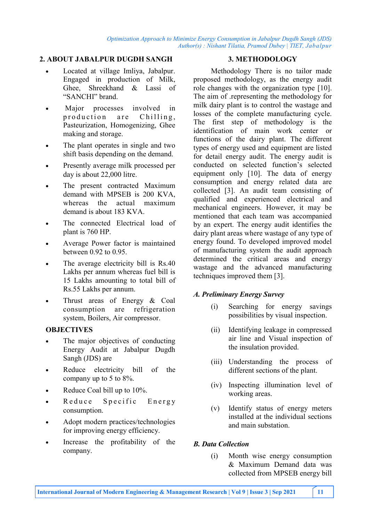# **2. ABOUT JABALPUR DUGDH SANGH**

- Located at village Imliya, Jabalpur. Engaged in production of Milk, Ghee, Shreekhand & Lassi of "SANCHI" brand.
- Major processes involved in production are Chilling, Pasteurization, Homogenizing, Ghee making and storage.
- The plant operates in single and two shift basis depending on the demand.
- Presently average milk processed per day is about 22,000 litre.
- The present contracted Maximum demand with MPSEB is 200 KVA, whereas the actual maximum demand is about 183 KVA.
- The connected Electrical load of plant is 760 HP.
- Average Power factor is maintained between 0.92 to 0.95.
- The average electricity bill is Rs.40 Lakhs per annum whereas fuel bill is 15 Lakhs amounting to total bill of Rs.55 Lakhs per annum.
- Thrust areas of Energy & Coal consumption are refrigeration system, Boilers, Air compressor.

# **OBJECTIVES**

- The major objectives of conducting Energy Audit at Jabalpur Dugdh Sangh (JDS) are
- Reduce electricity bill of the company up to 5 to 8%.
- Reduce Coal bill up to 10%.
- Reduce Specific Energy consumption.
- Adopt modern practices/technologies for improving energy efficiency.
- Increase the profitability of the company.

## **3. METHODOLOGY**

Methodology There is no tailor made proposed methodology, as the energy audit role changes with the organization type [10]. The aim of .representing the methodology for milk dairy plant is to control the wastage and losses of the complete manufacturing cycle. The first step of methodology is the identification of main work center or functions of the dairy plant. The different types of energy used and equipment are listed for detail energy audit. The energy audit is conducted on selected function"s selected equipment only [10]. The data of energy consumption and energy related data are collected [3]. An audit team consisting of qualified and experienced electrical and mechanical engineers. However, it may be mentioned that each team was accompanied by an expert. The energy audit identifies the dairy plant areas where wastage of any type of energy found. To developed improved model of manufacturing system the audit approach determined the critical areas and energy wastage and the advanced manufacturing techniques improved them [3].

# *A. Preliminary Energy Survey*

- (i) Searching for energy savings possibilities by visual inspection.
- (ii) Identifying leakage in compressed air line and Visual inspection of the insulation provided.
- (iii) Understanding the process of different sections of the plant.
- (iv) Inspecting illumination level of working areas.
- (v) Identify status of energy meters installed at the individual sections and main substation.

# *B. Data Collection*

(i) Month wise energy consumption & Maximum Demand data was collected from MPSEB energy bill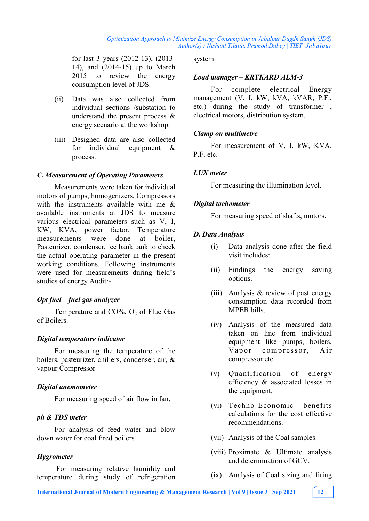for last 3 years (2012-13), (2013- 14), and (2014-15) up to March 2015 to review the energy consumption level of JDS.

- (ii) Data was also collected from individual sections /substation to understand the present process & energy scenario at the workshop.
- (iii) Designed data are also collected for individual equipment & process.

# *C. Measurement of Operating Parameters*

Measurements were taken for individual motors of pumps, homogenizers, Compressors with the instruments available with me & available instruments at JDS to measure various electrical parameters such as V, I, KW, KVA, power factor. Temperature measurements were done at boiler, Pasteurizer, condenser, ice bank tank to check the actual operating parameter in the present working conditions. Following instruments were used for measurements during field"s studies of energy Audit:-

# *Opt fuel – fuel gas analyzer*

Temperature and  $CO\%$ ,  $O_2$  of Flue Gas of Boilers.

# *Digital temperature indicator*

For measuring the temperature of the boilers, pasteurizer, chillers, condenser, air, & vapour Compressor

#### *Digital anemometer*

For measuring speed of air flow in fan.

#### *ph & TDS meter*

For analysis of feed water and blow down water for coal fired boilers

#### *Hygrometer*

For measuring relative humidity and temperature during study of refrigeration system.

#### *Load manager – KRYKARD ALM-3*

For complete electrical Energy management (V, I, kW, kVA, kVAR, P.F., etc.) during the study of transformer , electrical motors, distribution system.

## *Clamp on multimetre*

For measurement of V, I, kW, KVA, P.F. etc.

### *LUX meter*

For measuring the illumination level.

## *Digital tachometer*

For measuring speed of shafts, motors.

#### *D. Data Analysis*

- (i) Data analysis done after the field visit includes:
- (ii) Findings the energy saving options.
- (iii) Analysis & review of past energy consumption data recorded from MPEB bills.
- (iv) Analysis of the measured data taken on line from individual equipment like pumps, boilers, Vapor compressor, Air compressor etc.
- (v) Quantification of energy efficiency & associated losses in the equipment.
- (vi) Techno-Economic benefits calculations for the cost effective recommendations.
- (vii) Analysis of the Coal samples.
- (viii) Proximate & Ultimate analysis and determination of GCV.
- (ix) Analysis of Coal sizing and firing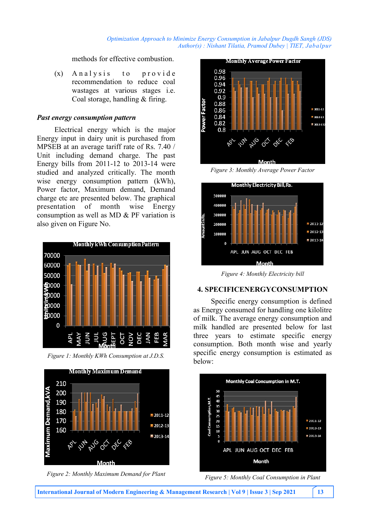*Optimization Approach to Minimize Energy Consumption in Jabalpur Dugdh Sangh (JDS) Author(s) : Nishant Tilatia, Pramod Dubey | TIET, Jabalpur*

methods for effective combustion.

 $(x)$  Analysis to provide recommendation to reduce coal wastages at various stages i.e. Coal storage, handling & firing.

#### *Past energy consumption pattern*

Electrical energy which is the major Energy input in dairy unit is purchased from MPSEB at an average tariff rate of Rs. 7.40 / Unit including demand charge. The past Energy bills from 2011-12 to 2013-14 were studied and analyzed critically. The month wise energy consumption pattern (kWh), Power factor, Maximum demand, Demand charge etc are presented below. The graphical presentation of month wise Energy consumption as well as MD & PF variation is also given on Figure No.



*Figure 1: Monthly KWh Consumption at J.D.S.*



*Figure 2: Monthly Maximum Demand for Plant*







*Figure 4: Monthly Electricity bill*

## **4. SPECIFICENERGYCONSUMPTION**

Specific energy consumption is defined as Energy consumed for handling one kilolitre of milk. The average energy consumption and milk handled are presented below for last three years to estimate specific energy consumption. Both month wise and yearly specific energy consumption is estimated as below:



*Figure 5: Monthly Coal Consumption in Plant*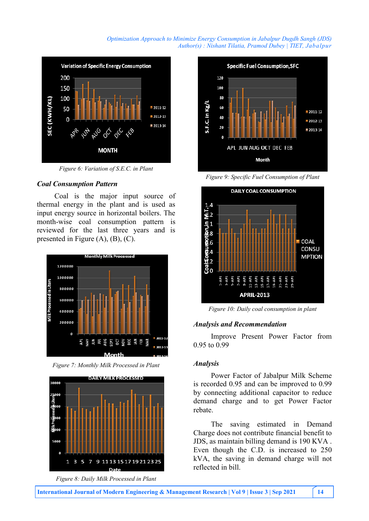*Optimization Approach to Minimize Energy Consumption in Jabalpur Dugdh Sangh (JDS) Author(s) : Nishant Tilatia, Pramod Dubey | TIET, Jabalpur*



*Figure 6: Variation of S.E.C. in Plant*

#### *Coal Consumption Pattern*

Coal is the major input source of thermal energy in the plant and is used as input energy source in horizontal boilers. The month-wise coal consumption pattern is reviewed for the last three years and is presented in Figure (A), (B), (C).



*Figure 7: Monthly Milk Processed in Plant*



*Figure 8: Daily Milk Processed in Plant*



*Figure 9: Specific Fuel Consumption of Plant*



*Figure 10: Daily coal consumption in plant*

#### *Analysis and Recommendation*

Improve Present Power Factor from 0.95 to 0.99

#### *Analysis*

Power Factor of Jabalpur Milk Scheme is recorded 0.95 and can be improved to 0.99 by connecting additional capacitor to reduce demand charge and to get Power Factor rebate.

The saving estimated in Demand Charge does not contribute financial benefit to JDS, as maintain billing demand is 190 KVA . Even though the C.D. is increased to 250 kVA, the saving in demand charge will not reflected in bill.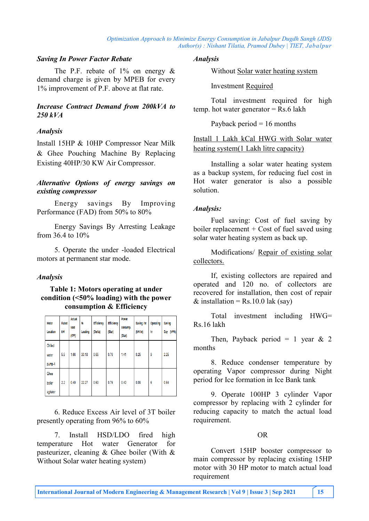## *Saving In Power Factor Rebate*

The P.F. rebate of  $1\%$  on energy  $\&$ demand charge is given by MPEB for every 1% improvement of P.F. above at flat rate.

# *Increase Contract Demand from 200kVA to 250 kVA*

# *Analysis*

Install 15HP & 10HP Compressor Near Milk & Ghee Pouching Machine By Replacing Existing 40HP/30 KW Air Compressor.

# *Alternative Options of energy savings on existing compressor*

Energy savings By Improving Performance (FAD) from 50% to 80%

Energy Savings By Arresting Leakage from 36.4 to 10%

5. Operate the under -loaded Electrical motors at permanent star mode.

# *Analysis*

# **Table 1: Motors operating at under condition (<50% loading) with the power consumption & Efficiency**

| Motor<br>Location                      | Rated<br>kW | Actual<br>load<br>(KW) | ¥,<br>Loading | <b>Efficiency</b><br>(Delta) | <b>Efficiency</b><br>(Star) | Power<br>consump.<br>(Star) | Saving /hr<br>(kW/hr) | Operating<br>hr | Saving<br>(kWh)<br>Day |
|----------------------------------------|-------------|------------------------|---------------|------------------------------|-----------------------------|-----------------------------|-----------------------|-----------------|------------------------|
| Chilled<br>water<br>pump <sub>-4</sub> | 5.5         | 1.66                   | 30.18         | 0.65                         | 0.76                        | 1.41                        | 0.25                  | 9               | 2.25                   |
| <b>Ghee</b><br>boiler<br>agitator      | 2.2         | 0.49                   | 22.27         | 0.63                         | 0.76                        | 0.40                        | 0.09                  | 6               | 0.54                   |

6. Reduce Excess Air level of 3T boiler presently operating from 96% to 60%

7. Install HSD/LDO fired high temperature Hot water Generator for pasteurizer, cleaning & Ghee boiler (With & Without Solar water heating system)

# *Analysis*

Without Solar water heating system

Investment Required

Total investment required for high temp. hot water generator = Rs.6 lakh

Payback period  $= 16$  months

Install 1 Lakh kCal HWG with Solar water heating system(1 Lakh litre capacity)

Installing a solar water heating system as a backup system, for reducing fuel cost in Hot water generator is also a possible solution.

# *Analysis:*

Fuel saving: Cost of fuel saving by boiler replacement  $+$  Cost of fuel saved using solar water heating system as back up.

Modifications/ Repair of existing solar collectors.

If, existing collectors are repaired and operated and 120 no. of collectors are recovered for installation, then cost of repair & installation =  $Rs.10.0$  lak (say)

Total investment including HWG= Rs.16 lakh

Then, Payback period = 1 year  $& 2$ months

8. Reduce condenser temperature by operating Vapor compressor during Night period for Ice formation in Ice Bank tank

9. Operate 100HP 3 cylinder Vapor compressor by replacing with 2 cylinder for reducing capacity to match the actual load requirement.

#### OR

Convert 15HP booster compressor to main compressor by replacing existing 15HP motor with 30 HP motor to match actual load requirement